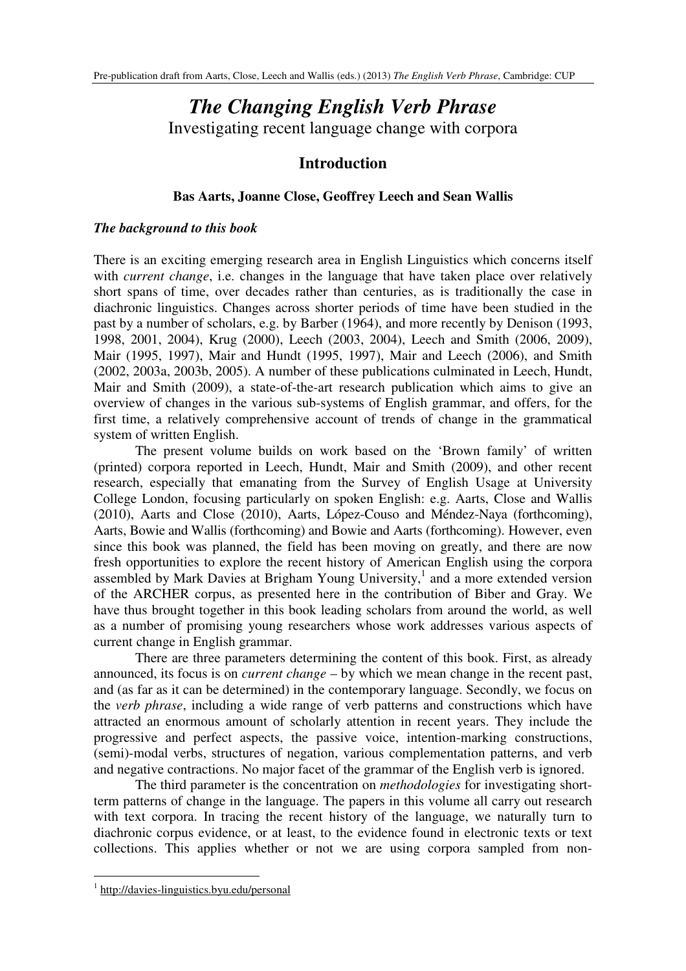# *The Changing English Verb Phrase* Investigating recent language change with corpora

# **Introduction**

#### **Bas Aarts, Joanne Close, Geoffrey Leech and Sean Wallis**

#### *The background to this book*

There is an exciting emerging research area in English Linguistics which concerns itself with *current change*, i.e. changes in the language that have taken place over relatively short spans of time, over decades rather than centuries, as is traditionally the case in diachronic linguistics. Changes across shorter periods of time have been studied in the past by a number of scholars, e.g. by Barber (1964), and more recently by Denison (1993, 1998, 2001, 2004), Krug (2000), Leech (2003, 2004), Leech and Smith (2006, 2009), Mair (1995, 1997), Mair and Hundt (1995, 1997), Mair and Leech (2006), and Smith (2002, 2003a, 2003b, 2005). A number of these publications culminated in Leech, Hundt, Mair and Smith (2009), a state-of-the-art research publication which aims to give an overview of changes in the various sub-systems of English grammar, and offers, for the first time, a relatively comprehensive account of trends of change in the grammatical system of written English.

The present volume builds on work based on the 'Brown family' of written (printed) corpora reported in Leech, Hundt, Mair and Smith (2009), and other recent research, especially that emanating from the Survey of English Usage at University College London, focusing particularly on spoken English: e.g. Aarts, Close and Wallis (2010), Aarts and Close (2010), Aarts, López-Couso and Méndez-Naya (forthcoming), Aarts, Bowie and Wallis (forthcoming) and Bowie and Aarts (forthcoming). However, even since this book was planned, the field has been moving on greatly, and there are now fresh opportunities to explore the recent history of American English using the corpora assembled by Mark Davies at Brigham Young University, 1 and a more extended version of the ARCHER corpus, as presented here in the contribution of Biber and Gray. We have thus brought together in this book leading scholars from around the world, as well as a number of promising young researchers whose work addresses various aspects of current change in English grammar.

There are three parameters determining the content of this book. First, as already announced, its focus is on *current change* – by which we mean change in the recent past, and (as far as it can be determined) in the contemporary language. Secondly, we focus on the *verb phrase*, including a wide range of verb patterns and constructions which have attracted an enormous amount of scholarly attention in recent years. They include the progressive and perfect aspects, the passive voice, intention-marking constructions, (semi)-modal verbs, structures of negation, various complementation patterns, and verb and negative contractions. No major facet of the grammar of the English verb is ignored.

The third parameter is the concentration on *methodologies* for investigating shortterm patterns of change in the language. The papers in this volume all carry out research with text corpora. In tracing the recent history of the language, we naturally turn to diachronic corpus evidence, or at least, to the evidence found in electronic texts or text collections. This applies whether or not we are using corpora sampled from non-

 $\overline{a}$ 

<sup>&</sup>lt;sup>1</sup> http://davies-linguistics.byu.edu/personal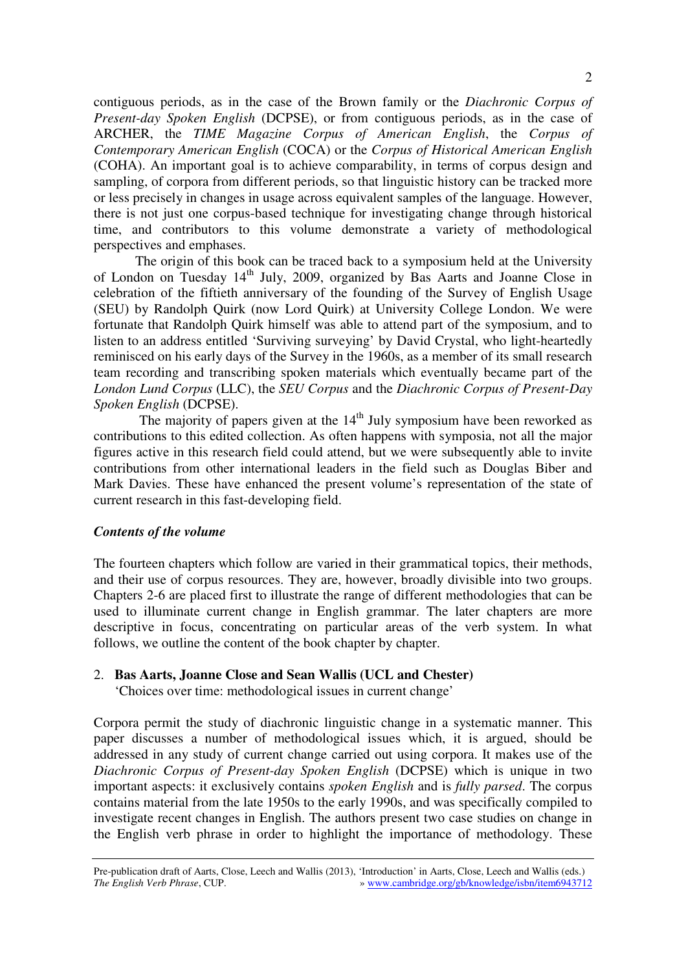contiguous periods, as in the case of the Brown family or the *Diachronic Corpus of Present-day Spoken English* (DCPSE), or from contiguous periods, as in the case of ARCHER, the *TIME Magazine Corpus of American English*, the *Corpus of Contemporary American English* (COCA) or the *Corpus of Historical American English* (COHA). An important goal is to achieve comparability, in terms of corpus design and sampling, of corpora from different periods, so that linguistic history can be tracked more or less precisely in changes in usage across equivalent samples of the language. However, there is not just one corpus-based technique for investigating change through historical time, and contributors to this volume demonstrate a variety of methodological perspectives and emphases.

The origin of this book can be traced back to a symposium held at the University of London on Tuesday 14<sup>th</sup> July, 2009, organized by Bas Aarts and Joanne Close in celebration of the fiftieth anniversary of the founding of the Survey of English Usage (SEU) by Randolph Quirk (now Lord Quirk) at University College London. We were fortunate that Randolph Quirk himself was able to attend part of the symposium, and to listen to an address entitled 'Surviving surveying' by David Crystal, who light-heartedly reminisced on his early days of the Survey in the 1960s, as a member of its small research team recording and transcribing spoken materials which eventually became part of the *London Lund Corpus* (LLC), the *SEU Corpus* and the *Diachronic Corpus of Present-Day Spoken English* (DCPSE).

The majority of papers given at the  $14<sup>th</sup>$  July symposium have been reworked as contributions to this edited collection. As often happens with symposia, not all the major figures active in this research field could attend, but we were subsequently able to invite contributions from other international leaders in the field such as Douglas Biber and Mark Davies. These have enhanced the present volume's representation of the state of current research in this fast-developing field.

#### *Contents of the volume*

The fourteen chapters which follow are varied in their grammatical topics, their methods, and their use of corpus resources. They are, however, broadly divisible into two groups. Chapters 2-6 are placed first to illustrate the range of different methodologies that can be used to illuminate current change in English grammar. The later chapters are more descriptive in focus, concentrating on particular areas of the verb system. In what follows, we outline the content of the book chapter by chapter.

## 2. **Bas Aarts, Joanne Close and Sean Wallis (UCL and Chester)**

'Choices over time: methodological issues in current change'

Corpora permit the study of diachronic linguistic change in a systematic manner. This paper discusses a number of methodological issues which, it is argued, should be addressed in any study of current change carried out using corpora. It makes use of the *Diachronic Corpus of Present-day Spoken English* (DCPSE) which is unique in two important aspects: it exclusively contains *spoken English* and is *fully parsed*. The corpus contains material from the late 1950s to the early 1990s, and was specifically compiled to investigate recent changes in English. The authors present two case studies on change in the English verb phrase in order to highlight the importance of methodology. These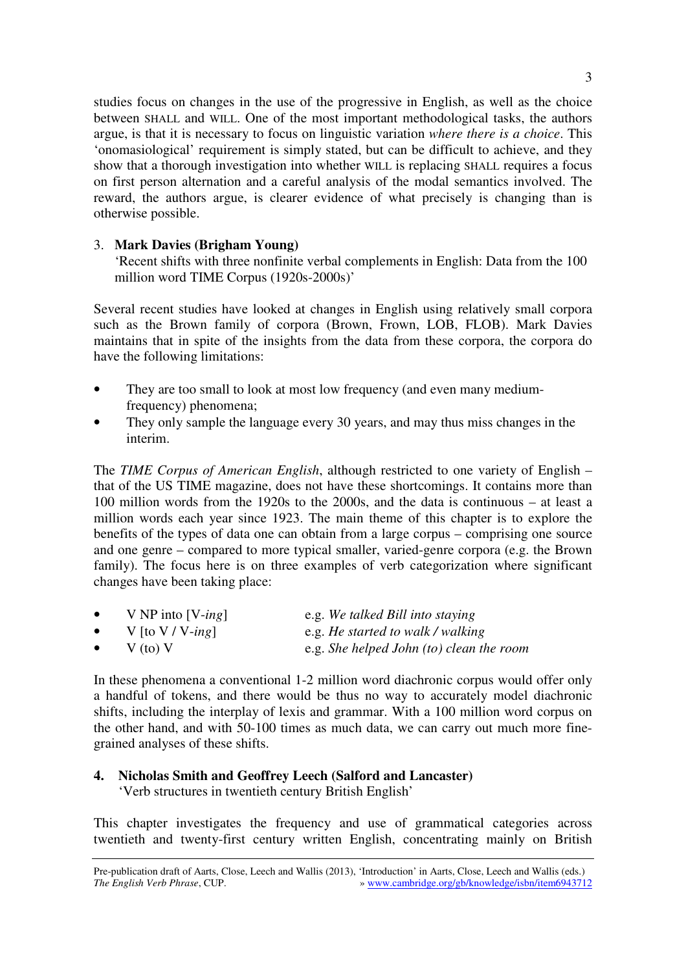studies focus on changes in the use of the progressive in English, as well as the choice between SHALL and WILL. One of the most important methodological tasks, the authors argue, is that it is necessary to focus on linguistic variation *where there is a choice*. This 'onomasiological' requirement is simply stated, but can be difficult to achieve, and they show that a thorough investigation into whether WILL is replacing SHALL requires a focus on first person alternation and a careful analysis of the modal semantics involved. The reward, the authors argue, is clearer evidence of what precisely is changing than is otherwise possible.

## 3. **Mark Davies (Brigham Young)**

'Recent shifts with three nonfinite verbal complements in English: Data from the 100 million word TIME Corpus (1920s-2000s)'

Several recent studies have looked at changes in English using relatively small corpora such as the Brown family of corpora (Brown, Frown, LOB, FLOB). Mark Davies maintains that in spite of the insights from the data from these corpora, the corpora do have the following limitations:

- They are too small to look at most low frequency (and even many mediumfrequency) phenomena;
- They only sample the language every 30 years, and may thus miss changes in the interim.

The *TIME Corpus of American English*, although restricted to one variety of English – that of the US TIME magazine, does not have these shortcomings. It contains more than 100 million words from the 1920s to the 2000s, and the data is continuous – at least a million words each year since 1923. The main theme of this chapter is to explore the benefits of the types of data one can obtain from a large corpus – comprising one source and one genre – compared to more typical smaller, varied-genre corpora (e.g. the Brown family). The focus here is on three examples of verb categorization where significant changes have been taking place:

| $\bullet$ | V NP into $[V$ -ing]      | e.g. We talked Bill into staying         |
|-----------|---------------------------|------------------------------------------|
|           | • $V$ [to $V$ / $V$ -ing] | e.g. He started to walk / walking        |
|           | $\bullet$ V (to) V        | e.g. She helped John (to) clean the room |

In these phenomena a conventional 1-2 million word diachronic corpus would offer only a handful of tokens, and there would be thus no way to accurately model diachronic shifts, including the interplay of lexis and grammar. With a 100 million word corpus on the other hand, and with 50-100 times as much data, we can carry out much more finegrained analyses of these shifts.

# **4. Nicholas Smith and Geoffrey Leech (Salford and Lancaster)**

'Verb structures in twentieth century British English'

This chapter investigates the frequency and use of grammatical categories across twentieth and twenty-first century written English, concentrating mainly on British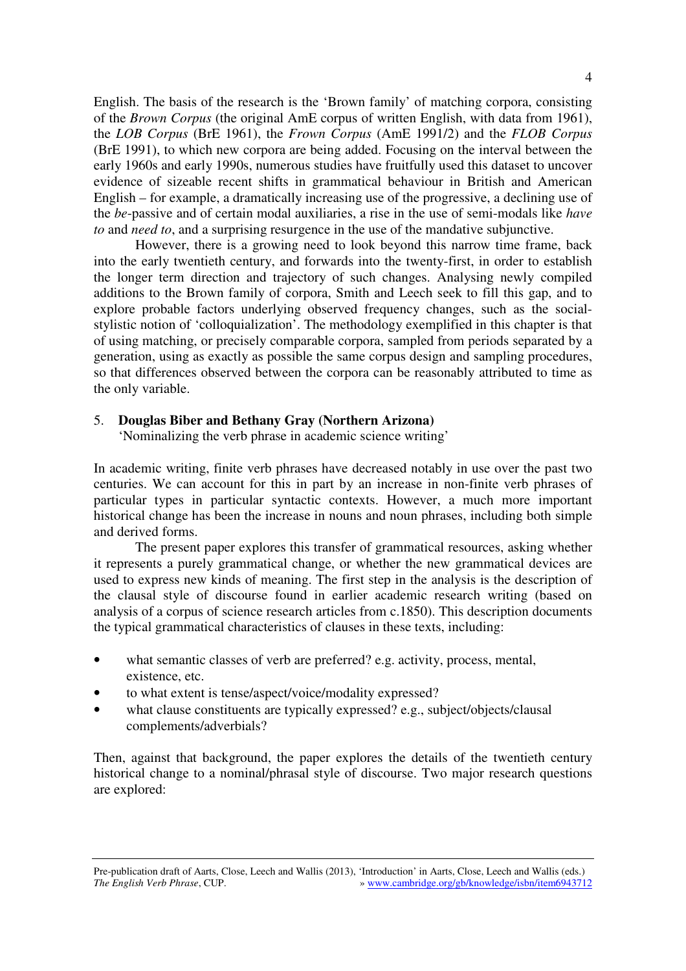English. The basis of the research is the 'Brown family' of matching corpora, consisting of the *Brown Corpus* (the original AmE corpus of written English, with data from 1961), the *LOB Corpus* (BrE 1961), the *Frown Corpus* (AmE 1991/2) and the *FLOB Corpus* (BrE 1991), to which new corpora are being added. Focusing on the interval between the early 1960s and early 1990s, numerous studies have fruitfully used this dataset to uncover evidence of sizeable recent shifts in grammatical behaviour in British and American English – for example, a dramatically increasing use of the progressive, a declining use of the *be*-passive and of certain modal auxiliaries, a rise in the use of semi-modals like *have to* and *need to*, and a surprising resurgence in the use of the mandative subjunctive.

However, there is a growing need to look beyond this narrow time frame, back into the early twentieth century, and forwards into the twenty-first, in order to establish the longer term direction and trajectory of such changes. Analysing newly compiled additions to the Brown family of corpora, Smith and Leech seek to fill this gap, and to explore probable factors underlying observed frequency changes, such as the socialstylistic notion of 'colloquialization'. The methodology exemplified in this chapter is that of using matching, or precisely comparable corpora, sampled from periods separated by a generation, using as exactly as possible the same corpus design and sampling procedures, so that differences observed between the corpora can be reasonably attributed to time as the only variable.

#### 5. **Douglas Biber and Bethany Gray (Northern Arizona)**

'Nominalizing the verb phrase in academic science writing'

In academic writing, finite verb phrases have decreased notably in use over the past two centuries. We can account for this in part by an increase in non-finite verb phrases of particular types in particular syntactic contexts. However, a much more important historical change has been the increase in nouns and noun phrases, including both simple and derived forms.

The present paper explores this transfer of grammatical resources, asking whether it represents a purely grammatical change, or whether the new grammatical devices are used to express new kinds of meaning. The first step in the analysis is the description of the clausal style of discourse found in earlier academic research writing (based on analysis of a corpus of science research articles from c.1850). This description documents the typical grammatical characteristics of clauses in these texts, including:

- what semantic classes of verb are preferred? e.g. activity, process, mental, existence, etc.
- to what extent is tense/aspect/voice/modality expressed?
- what clause constituents are typically expressed? e.g., subject/objects/clausal complements/adverbials?

Then, against that background, the paper explores the details of the twentieth century historical change to a nominal/phrasal style of discourse. Two major research questions are explored: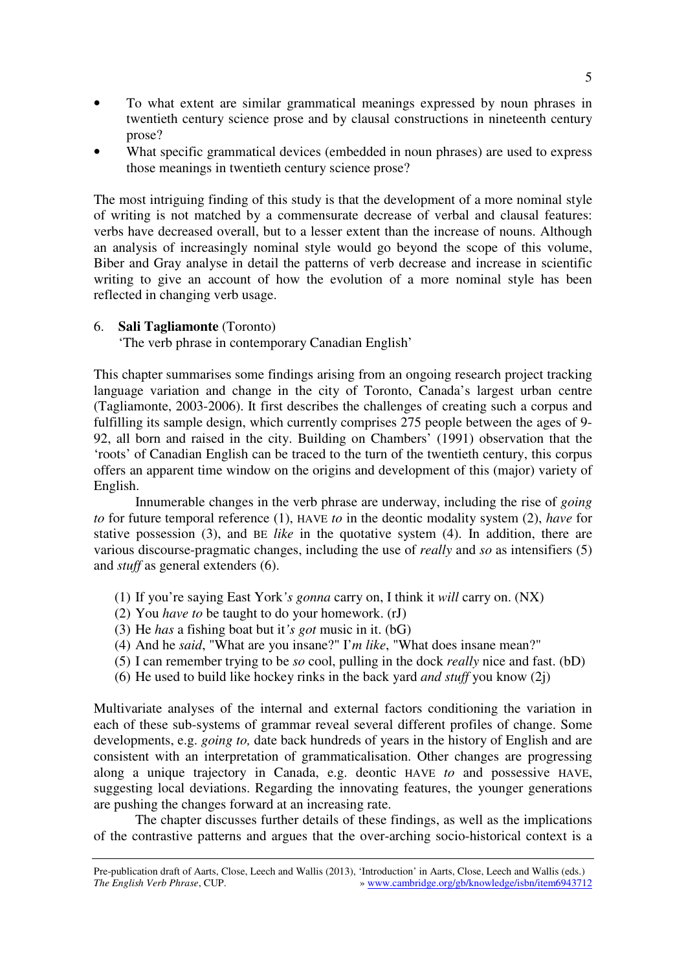- To what extent are similar grammatical meanings expressed by noun phrases in twentieth century science prose and by clausal constructions in nineteenth century prose?
- What specific grammatical devices (embedded in noun phrases) are used to express those meanings in twentieth century science prose?

The most intriguing finding of this study is that the development of a more nominal style of writing is not matched by a commensurate decrease of verbal and clausal features: verbs have decreased overall, but to a lesser extent than the increase of nouns. Although an analysis of increasingly nominal style would go beyond the scope of this volume, Biber and Gray analyse in detail the patterns of verb decrease and increase in scientific writing to give an account of how the evolution of a more nominal style has been reflected in changing verb usage.

#### 6. **Sali Tagliamonte** (Toronto)

'The verb phrase in contemporary Canadian English'

This chapter summarises some findings arising from an ongoing research project tracking language variation and change in the city of Toronto, Canada's largest urban centre (Tagliamonte, 2003-2006). It first describes the challenges of creating such a corpus and fulfilling its sample design, which currently comprises 275 people between the ages of 9- 92, all born and raised in the city. Building on Chambers' (1991) observation that the 'roots' of Canadian English can be traced to the turn of the twentieth century, this corpus offers an apparent time window on the origins and development of this (major) variety of English.

Innumerable changes in the verb phrase are underway, including the rise of *going to* for future temporal reference (1), HAVE *to* in the deontic modality system (2), *have* for stative possession (3), and BE *like* in the quotative system (4). In addition, there are various discourse-pragmatic changes, including the use of *really* and *so* as intensifiers (5) and *stuff* as general extenders (6).

- (1) If you're saying East York*'s gonna* carry on, I think it *will* carry on. (NX)
- (2) You *have to* be taught to do your homework. (rJ)
- (3) He *has* a fishing boat but it*'s got* music in it. (bG)
- (4) And he *said*, "What are you insane?" I'*m like*, "What does insane mean?"
- (5) I can remember trying to be *so* cool, pulling in the dock *really* nice and fast. (bD)
- (6) He used to build like hockey rinks in the back yard *and stuff* you know (2j)

Multivariate analyses of the internal and external factors conditioning the variation in each of these sub-systems of grammar reveal several different profiles of change. Some developments, e.g. *going to,* date back hundreds of years in the history of English and are consistent with an interpretation of grammaticalisation. Other changes are progressing along a unique trajectory in Canada, e.g. deontic HAVE *to* and possessive HAVE, suggesting local deviations. Regarding the innovating features, the younger generations are pushing the changes forward at an increasing rate.

The chapter discusses further details of these findings, as well as the implications of the contrastive patterns and argues that the over-arching socio-historical context is a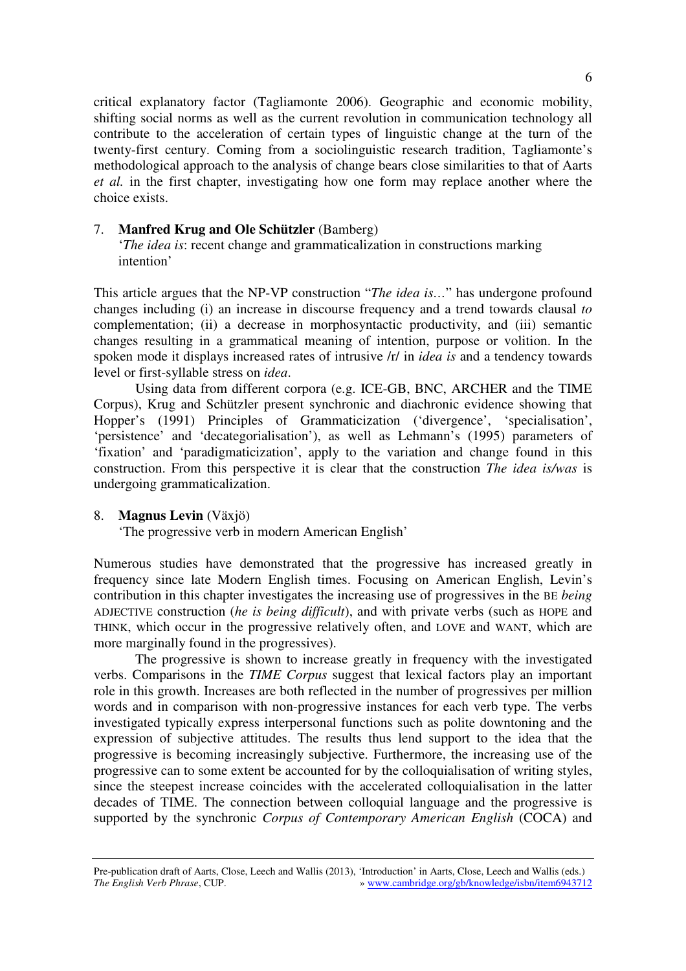critical explanatory factor (Tagliamonte 2006). Geographic and economic mobility, shifting social norms as well as the current revolution in communication technology all contribute to the acceleration of certain types of linguistic change at the turn of the twenty-first century. Coming from a sociolinguistic research tradition, Tagliamonte's methodological approach to the analysis of change bears close similarities to that of Aarts *et al.* in the first chapter, investigating how one form may replace another where the choice exists.

#### 7. **Manfred Krug and Ole Schützler** (Bamberg)

'*The idea is*: recent change and grammaticalization in constructions marking intention'

This article argues that the NP-VP construction "*The idea is…*" has undergone profound changes including (i) an increase in discourse frequency and a trend towards clausal *to* complementation; (ii) a decrease in morphosyntactic productivity, and (iii) semantic changes resulting in a grammatical meaning of intention, purpose or volition. In the spoken mode it displays increased rates of intrusive /r/ in *idea is* and a tendency towards level or first-syllable stress on *idea*.

Using data from different corpora (e.g. ICE-GB, BNC, ARCHER and the TIME Corpus), Krug and Schützler present synchronic and diachronic evidence showing that Hopper's (1991) Principles of Grammaticization ('divergence', 'specialisation', 'persistence' and 'decategorialisation'), as well as Lehmann's (1995) parameters of 'fixation' and 'paradigmaticization', apply to the variation and change found in this construction. From this perspective it is clear that the construction *The idea is/was* is undergoing grammaticalization.

#### 8. **Magnus Levin** (Växjö)

'The progressive verb in modern American English'

Numerous studies have demonstrated that the progressive has increased greatly in frequency since late Modern English times. Focusing on American English, Levin's contribution in this chapter investigates the increasing use of progressives in the BE *being* ADJECTIVE construction (*he is being difficult*), and with private verbs (such as HOPE and THINK, which occur in the progressive relatively often, and LOVE and WANT, which are more marginally found in the progressives).

The progressive is shown to increase greatly in frequency with the investigated verbs. Comparisons in the *TIME Corpus* suggest that lexical factors play an important role in this growth. Increases are both reflected in the number of progressives per million words and in comparison with non-progressive instances for each verb type. The verbs investigated typically express interpersonal functions such as polite downtoning and the expression of subjective attitudes. The results thus lend support to the idea that the progressive is becoming increasingly subjective. Furthermore, the increasing use of the progressive can to some extent be accounted for by the colloquialisation of writing styles, since the steepest increase coincides with the accelerated colloquialisation in the latter decades of TIME. The connection between colloquial language and the progressive is supported by the synchronic *Corpus of Contemporary American English* (COCA) and

Pre-publication draft of Aarts, Close, Leech and Wallis (2013), 'Introduction' in Aarts, Close, Leech and Wallis (eds.) *The English Verb Phrase*, CUP. » www.cambridge.org/gb/knowledge/isbn/item6943712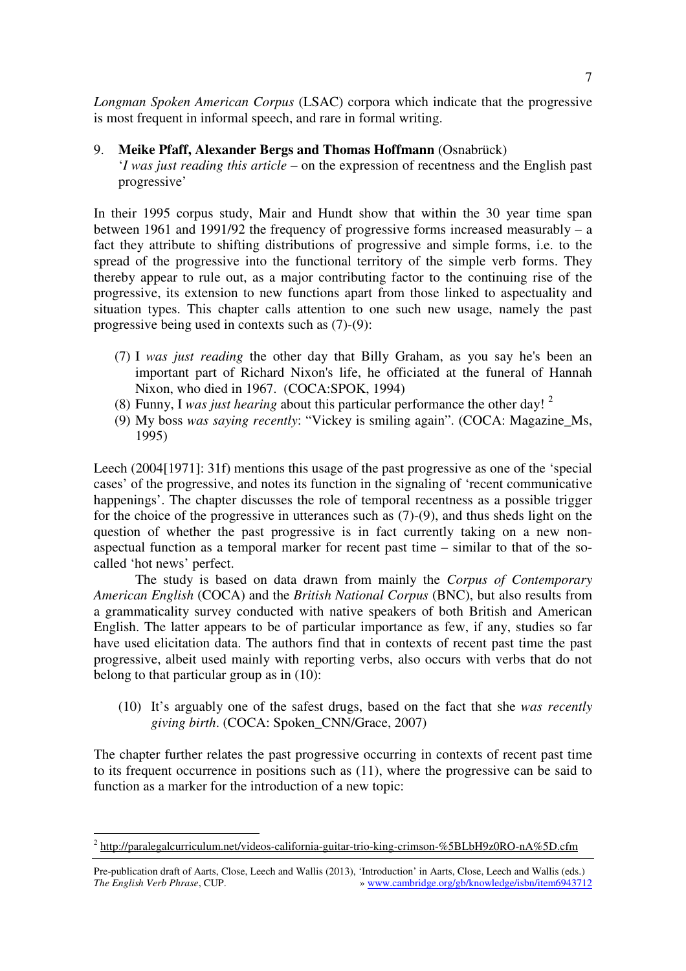*Longman Spoken American Corpus* (LSAC) corpora which indicate that the progressive is most frequent in informal speech, and rare in formal writing.

#### 9. **Meike Pfaff, Alexander Bergs and Thomas Hoffmann** (Osnabrück)

'*I was just reading this article –* on the expression of recentness and the English past progressive'

In their 1995 corpus study, Mair and Hundt show that within the 30 year time span between 1961 and 1991/92 the frequency of progressive forms increased measurably – a fact they attribute to shifting distributions of progressive and simple forms, i.e. to the spread of the progressive into the functional territory of the simple verb forms. They thereby appear to rule out, as a major contributing factor to the continuing rise of the progressive, its extension to new functions apart from those linked to aspectuality and situation types. This chapter calls attention to one such new usage, namely the past progressive being used in contexts such as (7)-(9):

- (7) I *was just reading* the other day that Billy Graham, as you say he's been an important part of Richard Nixon's life, he officiated at the funeral of Hannah Nixon, who died in 1967. (COCA:SPOK, 1994)
- (8) Funny, I *was just hearing* about this particular performance the other day! <sup>2</sup>
- (9) My boss *was saying recently*: "Vickey is smiling again". (COCA: Magazine\_Ms, 1995)

Leech (2004[1971]: 31f) mentions this usage of the past progressive as one of the 'special cases' of the progressive, and notes its function in the signaling of 'recent communicative happenings'. The chapter discusses the role of temporal recentness as a possible trigger for the choice of the progressive in utterances such as (7)-(9), and thus sheds light on the question of whether the past progressive is in fact currently taking on a new nonaspectual function as a temporal marker for recent past time – similar to that of the socalled 'hot news' perfect.

The study is based on data drawn from mainly the *Corpus of Contemporary American English* (COCA) and the *British National Corpus* (BNC), but also results from a grammaticality survey conducted with native speakers of both British and American English. The latter appears to be of particular importance as few, if any, studies so far have used elicitation data. The authors find that in contexts of recent past time the past progressive, albeit used mainly with reporting verbs, also occurs with verbs that do not belong to that particular group as in (10):

(10) It's arguably one of the safest drugs, based on the fact that she *was recently giving birth*. (COCA: Spoken\_CNN/Grace, 2007)

The chapter further relates the past progressive occurring in contexts of recent past time to its frequent occurrence in positions such as (11), where the progressive can be said to function as a marker for the introduction of a new topic:

 $\overline{a}$ <sup>2</sup> http://paralegalcurriculum.net/videos-california-guitar-trio-king-crimson-%5BLbH9z0RO-nA%5D.cfm

Pre-publication draft of Aarts, Close, Leech and Wallis (2013), 'Introduction' in Aarts, Close, Leech and Wallis (eds.) *The English Verb Phrase*, CUP. » www.cambridge.org/gb/knowledge/isbn/item6943712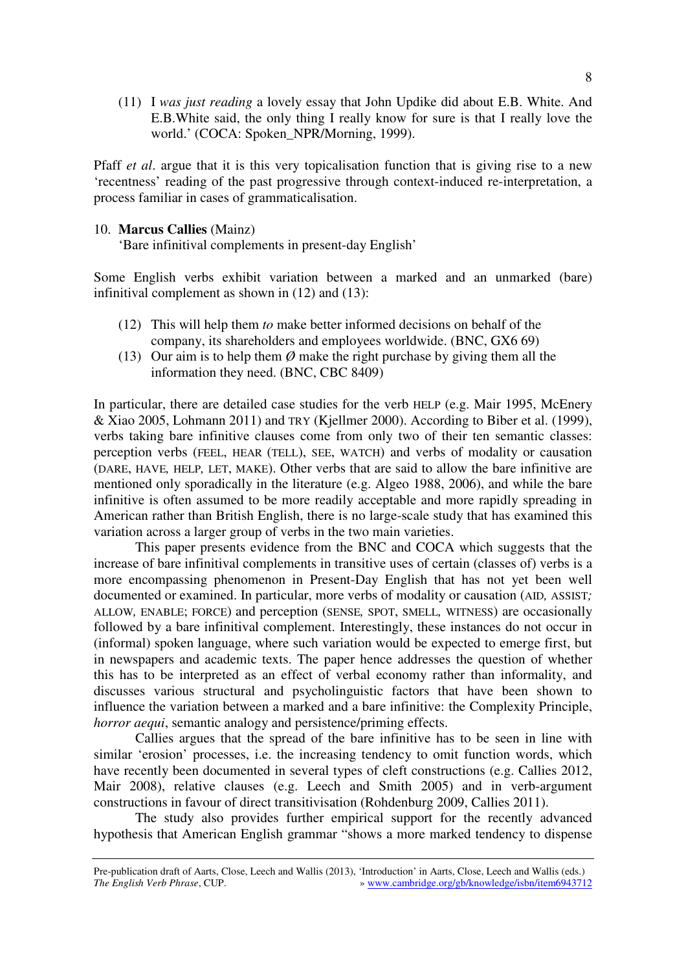(11) I *was just reading* a lovely essay that John Updike did about E.B. White. And E.B.White said, the only thing I really know for sure is that I really love the world.' (COCA: Spoken\_NPR/Morning, 1999).

Pfaff *et al*. argue that it is this very topicalisation function that is giving rise to a new 'recentness' reading of the past progressive through context-induced re-interpretation, a process familiar in cases of grammaticalisation.

#### 10. **Marcus Callies** (Mainz)

'Bare infinitival complements in present-day English'

Some English verbs exhibit variation between a marked and an unmarked (bare) infinitival complement as shown in (12) and (13):

- (12) This will help them *to* make better informed decisions on behalf of the company, its shareholders and employees worldwide. (BNC, GX6 69)
- (13) Our aim is to help them *Ø* make the right purchase by giving them all the information they need. (BNC, CBC 8409)

In particular, there are detailed case studies for the verb HELP (e.g. Mair 1995, McEnery & Xiao 2005, Lohmann 2011) and TRY (Kjellmer 2000). According to Biber et al. (1999), verbs taking bare infinitive clauses come from only two of their ten semantic classes: perception verbs (FEEL, HEAR (TELL), SEE, WATCH) and verbs of modality or causation (DARE, HAVE*,* HELP*,* LET, MAKE). Other verbs that are said to allow the bare infinitive are mentioned only sporadically in the literature (e.g. Algeo 1988, 2006), and while the bare infinitive is often assumed to be more readily acceptable and more rapidly spreading in American rather than British English, there is no large-scale study that has examined this variation across a larger group of verbs in the two main varieties.

This paper presents evidence from the BNC and COCA which suggests that the increase of bare infinitival complements in transitive uses of certain (classes of) verbs is a more encompassing phenomenon in Present-Day English that has not yet been well documented or examined. In particular, more verbs of modality or causation (AID*,* ASSIST*;* ALLOW*,* ENABLE; FORCE) and perception (SENSE*,* SPOT, SMELL*,* WITNESS) are occasionally followed by a bare infinitival complement. Interestingly, these instances do not occur in (informal) spoken language, where such variation would be expected to emerge first, but in newspapers and academic texts. The paper hence addresses the question of whether this has to be interpreted as an effect of verbal economy rather than informality, and discusses various structural and psycholinguistic factors that have been shown to influence the variation between a marked and a bare infinitive: the Complexity Principle, *horror aequi*, semantic analogy and persistence/priming effects.

Callies argues that the spread of the bare infinitive has to be seen in line with similar 'erosion' processes, i.e. the increasing tendency to omit function words, which have recently been documented in several types of cleft constructions (e.g. Callies 2012, Mair 2008), relative clauses (e.g. Leech and Smith 2005) and in verb-argument constructions in favour of direct transitivisation (Rohdenburg 2009, Callies 2011).

The study also provides further empirical support for the recently advanced hypothesis that American English grammar "shows a more marked tendency to dispense

Pre-publication draft of Aarts, Close, Leech and Wallis (2013), 'Introduction' in Aarts, Close, Leech and Wallis (eds.) *The English Verb Phrase*, CUP. » www.cambridge.org/gb/knowledge/isbn/item6943712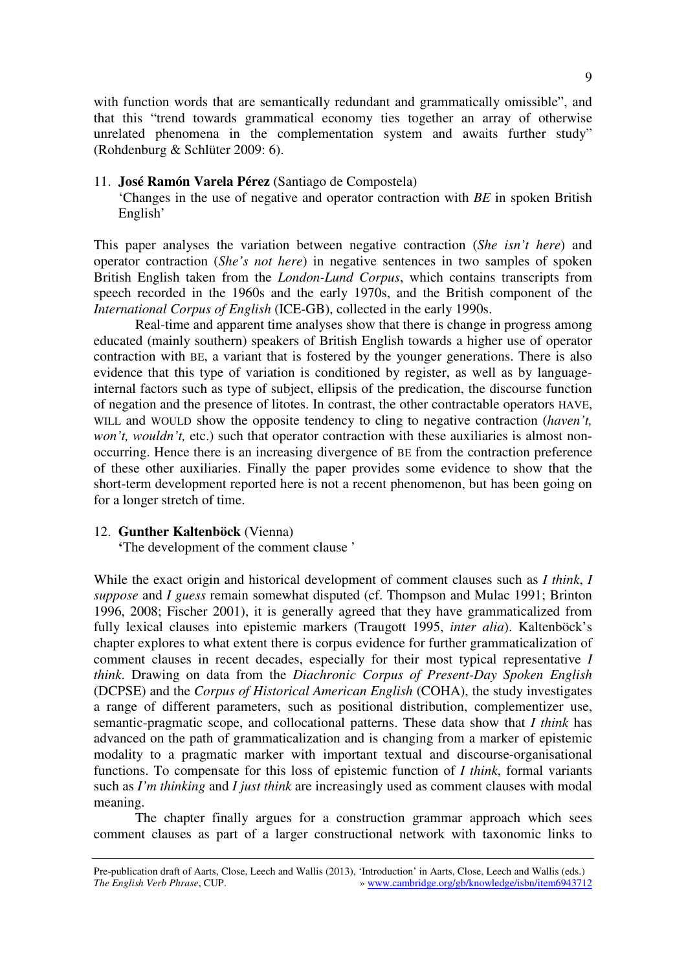with function words that are semantically redundant and grammatically omissible", and that this "trend towards grammatical economy ties together an array of otherwise unrelated phenomena in the complementation system and awaits further study" (Rohdenburg & Schlüter 2009: 6).

#### 11. **José Ramón Varela Pérez** (Santiago de Compostela)

'Changes in the use of negative and operator contraction with *BE* in spoken British English'

This paper analyses the variation between negative contraction (*She isn't here*) and operator contraction (*She's not here*) in negative sentences in two samples of spoken British English taken from the *London-Lund Corpus*, which contains transcripts from speech recorded in the 1960s and the early 1970s, and the British component of the *International Corpus of English* (ICE-GB), collected in the early 1990s.

Real-time and apparent time analyses show that there is change in progress among educated (mainly southern) speakers of British English towards a higher use of operator contraction with BE, a variant that is fostered by the younger generations. There is also evidence that this type of variation is conditioned by register, as well as by languageinternal factors such as type of subject, ellipsis of the predication, the discourse function of negation and the presence of litotes. In contrast, the other contractable operators HAVE, WILL and WOULD show the opposite tendency to cling to negative contraction (*haven't, won't, wouldn't,* etc.) such that operator contraction with these auxiliaries is almost nonoccurring. Hence there is an increasing divergence of BE from the contraction preference of these other auxiliaries. Finally the paper provides some evidence to show that the short-term development reported here is not a recent phenomenon, but has been going on for a longer stretch of time.

## 12. **Gunther Kaltenböck** (Vienna)

**'**The development of the comment clause '

While the exact origin and historical development of comment clauses such as *I think*, *I suppose* and *I guess* remain somewhat disputed (cf. Thompson and Mulac 1991; Brinton 1996, 2008; Fischer 2001), it is generally agreed that they have grammaticalized from fully lexical clauses into epistemic markers (Traugott 1995, *inter alia*). Kaltenböck's chapter explores to what extent there is corpus evidence for further grammaticalization of comment clauses in recent decades, especially for their most typical representative *I think*. Drawing on data from the *Diachronic Corpus of Present-Day Spoken English* (DCPSE) and the *Corpus of Historical American English* (COHA), the study investigates a range of different parameters, such as positional distribution, complementizer use, semantic-pragmatic scope, and collocational patterns. These data show that *I think* has advanced on the path of grammaticalization and is changing from a marker of epistemic modality to a pragmatic marker with important textual and discourse-organisational functions. To compensate for this loss of epistemic function of *I think*, formal variants such as *I'm thinking* and *I just think* are increasingly used as comment clauses with modal meaning.

The chapter finally argues for a construction grammar approach which sees comment clauses as part of a larger constructional network with taxonomic links to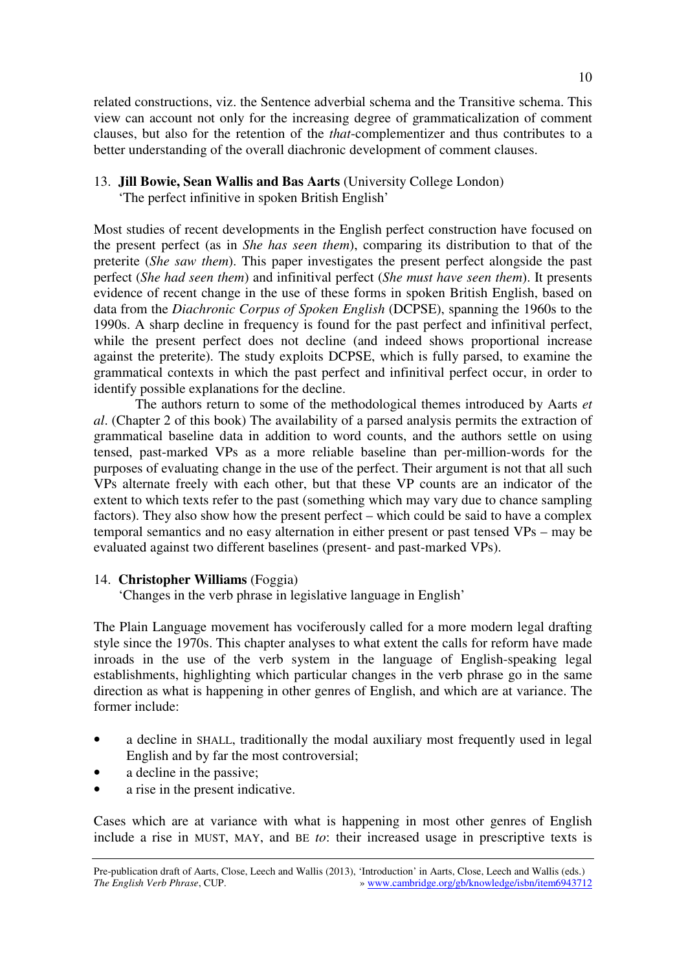related constructions, viz. the Sentence adverbial schema and the Transitive schema. This view can account not only for the increasing degree of grammaticalization of comment clauses, but also for the retention of the *that*-complementizer and thus contributes to a better understanding of the overall diachronic development of comment clauses.

# 13. **Jill Bowie, Sean Wallis and Bas Aarts** (University College London)

'The perfect infinitive in spoken British English'

Most studies of recent developments in the English perfect construction have focused on the present perfect (as in *She has seen them*), comparing its distribution to that of the preterite (*She saw them*). This paper investigates the present perfect alongside the past perfect (*She had seen them*) and infinitival perfect (*She must have seen them*). It presents evidence of recent change in the use of these forms in spoken British English, based on data from the *Diachronic Corpus of Spoken English* (DCPSE), spanning the 1960s to the 1990s. A sharp decline in frequency is found for the past perfect and infinitival perfect, while the present perfect does not decline (and indeed shows proportional increase against the preterite). The study exploits DCPSE, which is fully parsed, to examine the grammatical contexts in which the past perfect and infinitival perfect occur, in order to identify possible explanations for the decline.

The authors return to some of the methodological themes introduced by Aarts *et al*. (Chapter 2 of this book) The availability of a parsed analysis permits the extraction of grammatical baseline data in addition to word counts, and the authors settle on using tensed, past-marked VPs as a more reliable baseline than per-million-words for the purposes of evaluating change in the use of the perfect. Their argument is not that all such VPs alternate freely with each other, but that these VP counts are an indicator of the extent to which texts refer to the past (something which may vary due to chance sampling factors). They also show how the present perfect – which could be said to have a complex temporal semantics and no easy alternation in either present or past tensed VPs – may be evaluated against two different baselines (present- and past-marked VPs).

## 14. **Christopher Williams** (Foggia)

'Changes in the verb phrase in legislative language in English'

The Plain Language movement has vociferously called for a more modern legal drafting style since the 1970s. This chapter analyses to what extent the calls for reform have made inroads in the use of the verb system in the language of English-speaking legal establishments, highlighting which particular changes in the verb phrase go in the same direction as what is happening in other genres of English, and which are at variance. The former include:

- a decline in SHALL, traditionally the modal auxiliary most frequently used in legal English and by far the most controversial;
- a decline in the passive;
- a rise in the present indicative.

Cases which are at variance with what is happening in most other genres of English include a rise in MUST, MAY, and BE *to*: their increased usage in prescriptive texts is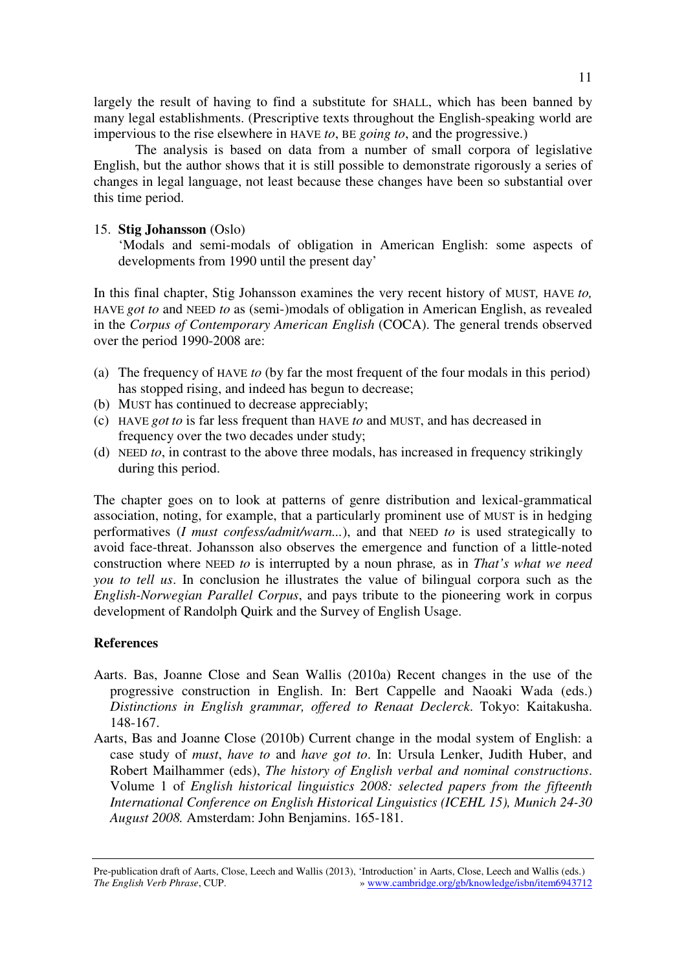largely the result of having to find a substitute for SHALL, which has been banned by many legal establishments. (Prescriptive texts throughout the English-speaking world are impervious to the rise elsewhere in HAVE *to*, BE *going to*, and the progressive.)

The analysis is based on data from a number of small corpora of legislative English, but the author shows that it is still possible to demonstrate rigorously a series of changes in legal language, not least because these changes have been so substantial over this time period.

#### 15. **Stig Johansson** (Oslo)

'Modals and semi-modals of obligation in American English: some aspects of developments from 1990 until the present day'

In this final chapter, Stig Johansson examines the very recent history of MUST*,* HAVE *to,* HAVE *got to* and NEED *to* as (semi-)modals of obligation in American English, as revealed in the *Corpus of Contemporary American English* (COCA). The general trends observed over the period 1990-2008 are:

- (a) The frequency of HAVE *to* (by far the most frequent of the four modals in this period) has stopped rising, and indeed has begun to decrease;
- (b) MUST has continued to decrease appreciably;
- (c) HAVE *got to* is far less frequent than HAVE *to* and MUST, and has decreased in frequency over the two decades under study;
- (d) NEED *to*, in contrast to the above three modals, has increased in frequency strikingly during this period.

The chapter goes on to look at patterns of genre distribution and lexical-grammatical association, noting, for example, that a particularly prominent use of MUST is in hedging performatives (*I must confess/admit/warn...*), and that NEED *to* is used strategically to avoid face-threat. Johansson also observes the emergence and function of a little-noted construction where NEED *to* is interrupted by a noun phrase*,* as in *That's what we need you to tell us*. In conclusion he illustrates the value of bilingual corpora such as the *English-Norwegian Parallel Corpus*, and pays tribute to the pioneering work in corpus development of Randolph Quirk and the Survey of English Usage.

#### **References**

- Aarts. Bas, Joanne Close and Sean Wallis (2010a) Recent changes in the use of the progressive construction in English. In: Bert Cappelle and Naoaki Wada (eds.) *Distinctions in English grammar, offered to Renaat Declerck*. Tokyo: Kaitakusha. 148-167.
- Aarts, Bas and Joanne Close (2010b) Current change in the modal system of English: a case study of *must*, *have to* and *have got to*. In: Ursula Lenker, Judith Huber, and Robert Mailhammer (eds), *The history of English verbal and nominal constructions*. Volume 1 of *English historical linguistics 2008: selected papers from the fifteenth International Conference on English Historical Linguistics (ICEHL 15), Munich 24-30 August 2008.* Amsterdam: John Benjamins. 165-181.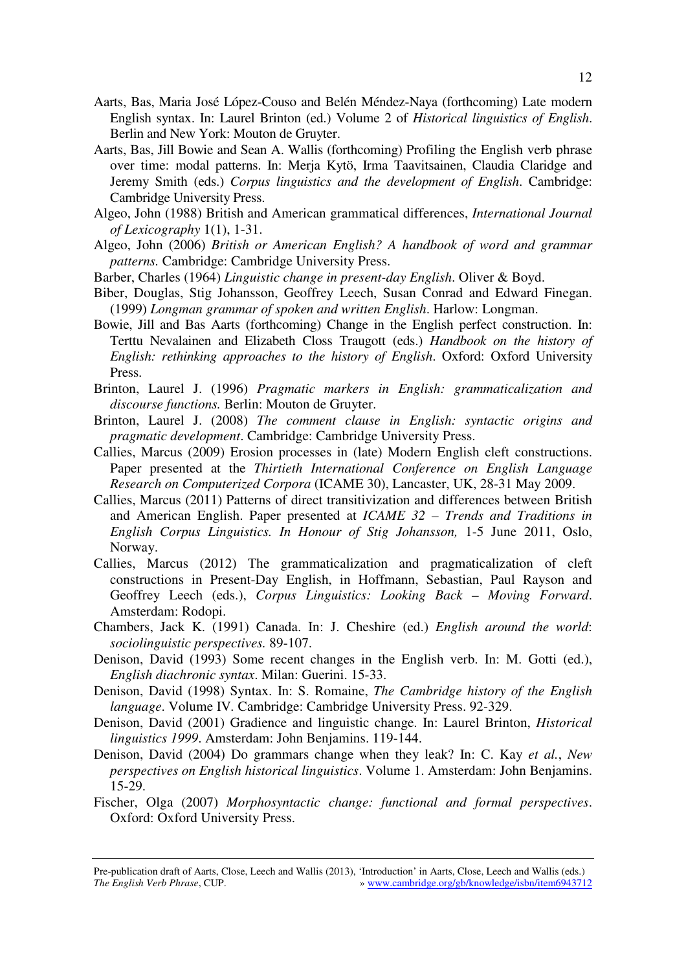- Aarts, Bas, Maria José López-Couso and Belén Méndez-Naya (forthcoming) Late modern English syntax. In: Laurel Brinton (ed.) Volume 2 of *Historical linguistics of English*. Berlin and New York: Mouton de Gruyter.
- Aarts, Bas, Jill Bowie and Sean A. Wallis (forthcoming) Profiling the English verb phrase over time: modal patterns. In: Merja Kytö, Irma Taavitsainen, Claudia Claridge and Jeremy Smith (eds.) *Corpus linguistics and the development of English*. Cambridge: Cambridge University Press.
- Algeo, John (1988) British and American grammatical differences, *International Journal of Lexicography* 1(1), 1-31.
- Algeo, John (2006) *British or American English? A handbook of word and grammar patterns.* Cambridge: Cambridge University Press.
- Barber, Charles (1964) *Linguistic change in present-day English*. Oliver & Boyd.
- Biber, Douglas, Stig Johansson, Geoffrey Leech, Susan Conrad and Edward Finegan. (1999) *Longman grammar of spoken and written English*. Harlow: Longman.
- Bowie, Jill and Bas Aarts (forthcoming) Change in the English perfect construction. In: Terttu Nevalainen and Elizabeth Closs Traugott (eds.) *Handbook on the history of English: rethinking approaches to the history of English*. Oxford: Oxford University Press.
- Brinton, Laurel J. (1996) *Pragmatic markers in English: grammaticalization and discourse functions.* Berlin: Mouton de Gruyter.
- Brinton, Laurel J. (2008) *The comment clause in English: syntactic origins and pragmatic development*. Cambridge: Cambridge University Press.
- Callies, Marcus (2009) Erosion processes in (late) Modern English cleft constructions. Paper presented at the *Thirtieth International Conference on English Language Research on Computerized Corpora* (ICAME 30), Lancaster, UK, 28-31 May 2009.
- Callies, Marcus (2011) Patterns of direct transitivization and differences between British and American English. Paper presented at *ICAME 32 – Trends and Traditions in English Corpus Linguistics. In Honour of Stig Johansson,* 1-5 June 2011, Oslo, Norway.
- Callies, Marcus (2012) The grammaticalization and pragmaticalization of cleft constructions in Present-Day English, in Hoffmann, Sebastian, Paul Rayson and Geoffrey Leech (eds.), *Corpus Linguistics: Looking Back – Moving Forward*. Amsterdam: Rodopi.
- Chambers, Jack K. (1991) Canada. In: J. Cheshire (ed.) *English around the world*: *sociolinguistic perspectives.* 89-107.
- Denison, David (1993) Some recent changes in the English verb. In: M. Gotti (ed.), *English diachronic syntax*. Milan: Guerini. 15-33.
- Denison, David (1998) Syntax. In: S. Romaine, *The Cambridge history of the English language*. Volume IV*.* Cambridge: Cambridge University Press. 92-329.
- Denison, David (2001) Gradience and linguistic change. In: Laurel Brinton, *Historical linguistics 1999*. Amsterdam: John Benjamins. 119-144.
- Denison, David (2004) Do grammars change when they leak? In: C. Kay *et al.*, *New perspectives on English historical linguistics*. Volume 1. Amsterdam: John Benjamins. 15-29.
- Fischer, Olga (2007) *Morphosyntactic change: functional and formal perspectives*. Oxford: Oxford University Press.

Pre-publication draft of Aarts, Close, Leech and Wallis (2013), 'Introduction' in Aarts, Close, Leech and Wallis (eds.) *The English Verb Phrase*, CUP. » www.cambridge.org/gb/knowledge/isbn/item6943712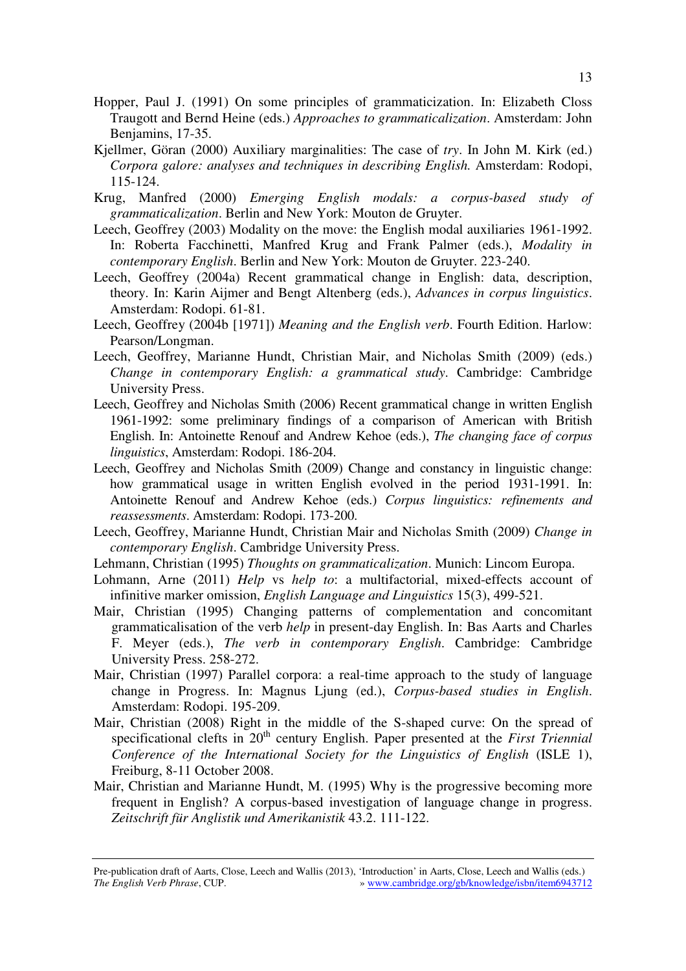- Hopper, Paul J. (1991) On some principles of grammaticization. In: Elizabeth Closs Traugott and Bernd Heine (eds.) *Approaches to grammaticalization*. Amsterdam: John Benjamins, 17-35.
- Kjellmer, Göran (2000) Auxiliary marginalities: The case of *try*. In John M. Kirk (ed.) *Corpora galore: analyses and techniques in describing English.* Amsterdam: Rodopi, 115-124.
- Krug, Manfred (2000) *Emerging English modals: a corpus-based study of grammaticalization*. Berlin and New York: Mouton de Gruyter.
- Leech, Geoffrey (2003) Modality on the move: the English modal auxiliaries 1961-1992. In: Roberta Facchinetti, Manfred Krug and Frank Palmer (eds.), *Modality in contemporary English*. Berlin and New York: Mouton de Gruyter. 223-240.
- Leech, Geoffrey (2004a) Recent grammatical change in English: data, description, theory. In: Karin Aijmer and Bengt Altenberg (eds.), *Advances in corpus linguistics*. Amsterdam: Rodopi. 61-81.
- Leech, Geoffrey (2004b [1971]) *Meaning and the English verb*. Fourth Edition. Harlow: Pearson/Longman.
- Leech, Geoffrey, Marianne Hundt, Christian Mair, and Nicholas Smith (2009) (eds.) *Change in contemporary English: a grammatical study*. Cambridge: Cambridge University Press.
- Leech, Geoffrey and Nicholas Smith (2006) Recent grammatical change in written English 1961-1992: some preliminary findings of a comparison of American with British English. In: Antoinette Renouf and Andrew Kehoe (eds.), *The changing face of corpus linguistics*, Amsterdam: Rodopi. 186-204.
- Leech, Geoffrey and Nicholas Smith (2009) Change and constancy in linguistic change: how grammatical usage in written English evolved in the period 1931-1991. In: Antoinette Renouf and Andrew Kehoe (eds.) *Corpus linguistics: refinements and reassessments*. Amsterdam: Rodopi. 173-200.
- Leech, Geoffrey, Marianne Hundt, Christian Mair and Nicholas Smith (2009) *Change in contemporary English*. Cambridge University Press.
- Lehmann, Christian (1995) *Thoughts on grammaticalization*. Munich: Lincom Europa.
- Lohmann, Arne (2011) *Help* vs *help to*: a multifactorial, mixed-effects account of infinitive marker omission, *English Language and Linguistics* 15(3), 499-521.
- Mair, Christian (1995) Changing patterns of complementation and concomitant grammaticalisation of the verb *help* in present-day English. In: Bas Aarts and Charles F. Meyer (eds.), *The verb in contemporary English*. Cambridge: Cambridge University Press. 258-272.
- Mair, Christian (1997) Parallel corpora: a real-time approach to the study of language change in Progress. In: Magnus Ljung (ed.), *Corpus-based studies in English*. Amsterdam: Rodopi. 195-209.
- Mair, Christian (2008) Right in the middle of the S-shaped curve: On the spread of specificational clefts in 20<sup>th</sup> century English. Paper presented at the *First Triennial Conference of the International Society for the Linguistics of English* (ISLE 1), Freiburg, 8-11 October 2008.
- Mair, Christian and Marianne Hundt, M. (1995) Why is the progressive becoming more frequent in English? A corpus-based investigation of language change in progress. *Zeitschrift für Anglistik und Amerikanistik* 43.2. 111-122.

Pre-publication draft of Aarts, Close, Leech and Wallis (2013), 'Introduction' in Aarts, Close, Leech and Wallis (eds.) *The English Verb Phrase*, CUP. » www.cambridge.org/gb/knowledge/isbn/item6943712